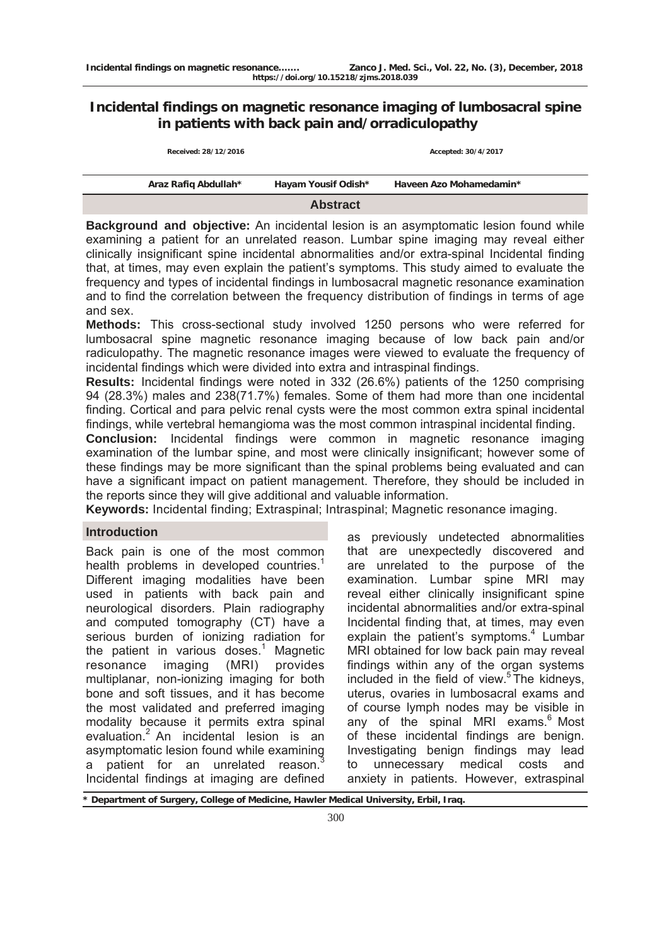# **Incidental findings on magnetic resonance imaging of lumbosacral spine in patients with back pain and/orradiculopathy**

|                      | <b>Abstract</b>     |                         |  |  |
|----------------------|---------------------|-------------------------|--|--|
| Araz Rafiq Abdullah* | Hayam Yousif Odish* | Haveen Azo Mohamedamin* |  |  |
| Received: 28/12/2016 |                     | Accepted: 30/4/2017     |  |  |

**Background and objective:** An incidental lesion is an asymptomatic lesion found while examining a patient for an unrelated reason. Lumbar spine imaging may reveal either clinically insignificant spine incidental abnormalities and/or extra-spinal Incidental finding that, at times, may even explain the patient's symptoms. This study aimed to evaluate the frequency and types of incidental findings in lumbosacral magnetic resonance examination and to find the correlation between the frequency distribution of findings in terms of age and sex.

**Methods:** This cross-sectional study involved 1250 persons who were referred for lumbosacral spine magnetic resonance imaging because of low back pain and/or radiculopathy. The magnetic resonance images were viewed to evaluate the frequency of incidental findings which were divided into extra and intraspinal findings.

**Results:** Incidental findings were noted in 332 (26.6%) patients of the 1250 comprising 94 (28.3%) males and 238(71.7%) females. Some of them had more than one incidental finding. Cortical and para pelvic renal cysts were the most common extra spinal incidental findings, while vertebral hemangioma was the most common intraspinal incidental finding.

**Conclusion:** Incidental findings were common in magnetic resonance imaging examination of the lumbar spine, and most were clinically insignificant; however some of these findings may be more significant than the spinal problems being evaluated and can have a significant impact on patient management. Therefore, they should be included in the reports since they will give additional and valuable information.

**Keywords:** Incidental finding; Extraspinal; Intraspinal; Magnetic resonance imaging.

## **Introduction**

Back pain is one of the most common health problems in developed countries.<sup>1</sup> Different imaging modalities have been used in patients with back pain and neurological disorders. Plain radiography and computed tomography (CT) have a serious burden of ionizing radiation for the patient in various doses.<sup>1</sup> Magnetic resonance imaging (MRI) provides multiplanar, non-ionizing imaging for both bone and soft tissues, and it has become the most validated and preferred imaging modality because it permits extra spinal evaluation.2 An incidental lesion is an asymptomatic lesion found while examining a patient for an unrelated reason.<sup>3</sup> Incidental findings at imaging are defined

as previously undetected abnormalities that are unexpectedly discovered and are unrelated to the purpose of the examination. Lumbar spine MRI may reveal either clinically insignificant spine incidental abnormalities and/or extra-spinal Incidental finding that, at times, may even explain the patient's symptoms.<sup>4</sup> Lumbar MRI obtained for low back pain may reveal findings within any of the organ systems included in the field of view. $5$  The kidneys, uterus, ovaries in lumbosacral exams and of course lymph nodes may be visible in any of the spinal MRI exams.<sup>6</sup> Most of these incidental findings are benign. Investigating benign findings may lead to unnecessary medical costs and anxiety in patients. However, extraspinal

**\* Department of Surgery, College of Medicine, Hawler Medical University, Erbil, Iraq.**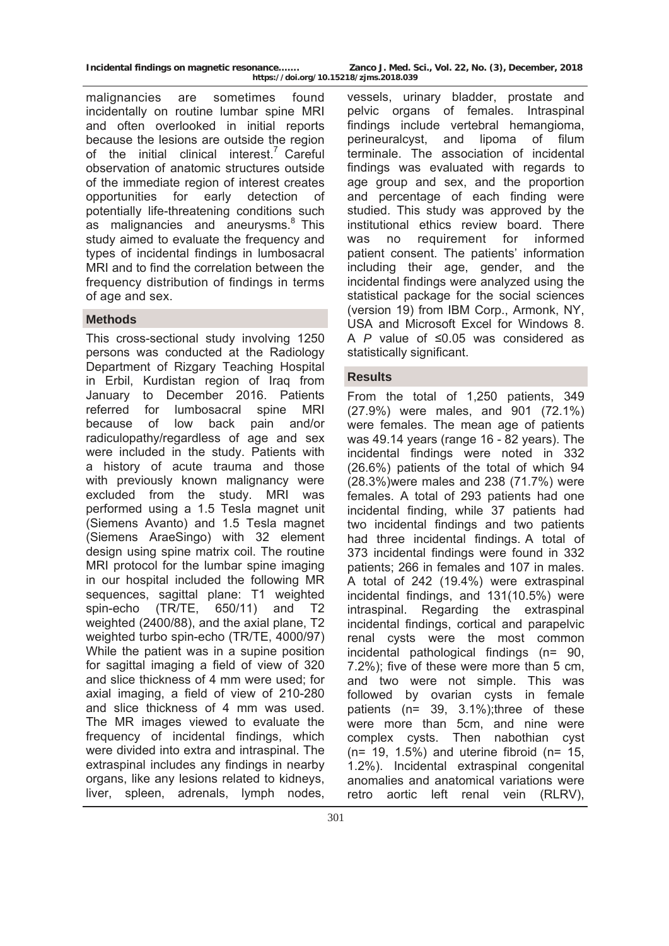malignancies are sometimes found incidentally on routine lumbar spine MRI and often overlooked in initial reports because the lesions are outside the region of the initial clinical interest.<sup>7</sup> Careful observation of anatomic structures outside of the immediate region of interest creates opportunities for early detection of potentially life-threatening conditions such as malignancies and aneurysms.<sup>8</sup> This study aimed to evaluate the frequency and types of incidental findings in lumbosacral MRI and to find the correlation between the frequency distribution of findings in terms of age and sex.

## **Methods**

This cross-sectional study involving 1250 persons was conducted at the Radiology Department of Rizgary Teaching Hospital in Erbil, Kurdistan region of Iraq from January to December 2016. Patients referred for lumbosacral spine MRI because of low back pain and/or radiculopathy/regardless of age and sex were included in the study. Patients with a history of acute trauma and those with previously known malignancy were excluded from the study. MRI was performed using a 1.5 Tesla magnet unit (Siemens Avanto) and 1.5 Tesla magnet (Siemens AraeSingo) with 32 element design using spine matrix coil. The routine MRI protocol for the lumbar spine imaging in our hospital included the following MR sequences, sagittal plane: T1 weighted spin-echo (TR/TE, 650/11) and T2 weighted (2400/88), and the axial plane, T2 weighted turbo spin-echo (TR/TE, 4000/97) While the patient was in a supine position for sagittal imaging a field of view of 320 and slice thickness of 4 mm were used; for axial imaging, a field of view of 210-280 and slice thickness of 4 mm was used. The MR images viewed to evaluate the frequency of incidental findings, which were divided into extra and intraspinal. The extraspinal includes any findings in nearby organs, like any lesions related to kidneys, liver, spleen, adrenals, lymph nodes,

vessels, urinary bladder, prostate and pelvic organs of females. Intraspinal findings include vertebral hemangioma, perineuralcyst, and lipoma of filum terminale. The association of incidental findings was evaluated with regards to age group and sex, and the proportion and percentage of each finding were studied. This study was approved by the institutional ethics review board. There was no requirement for informed patient consent. The patients' information including their age, gender, and the incidental findings were analyzed using the statistical package for the social sciences (version 19) from IBM Corp., Armonk, NY, USA and Microsoft Excel for Windows 8. A *P* value of ≤0.05 was considered as statistically significant.

## **Results**

From the total of 1,250 patients, 349 (27.9%) were males, and 901 (72.1%) were females. The mean age of patients was 49.14 years (range 16 - 82 years). The incidental findings were noted in 332 (26.6%) patients of the total of which 94 (28.3%)were males and 238 (71.7%) were females. A total of 293 patients had one incidental finding, while 37 patients had two incidental findings and two patients had three incidental findings. A total of 373 incidental findings were found in 332 patients; 266 in females and 107 in males. A total of 242 (19.4%) were extraspinal incidental findings, and 131(10.5%) were intraspinal. Regarding the extraspinal incidental findings, cortical and parapelvic renal cysts were the most common incidental pathological findings (n= 90, 7.2%); five of these were more than 5 cm, and two were not simple. This was followed by ovarian cysts in female patients (n= 39, 3.1%);three of these were more than 5cm, and nine were complex cysts. Then nabothian cyst  $(n= 19, 1.5\%)$  and uterine fibroid  $(n= 15,$ 1.2%). Incidental extraspinal congenital anomalies and anatomical variations were retro aortic left renal vein (RLRV),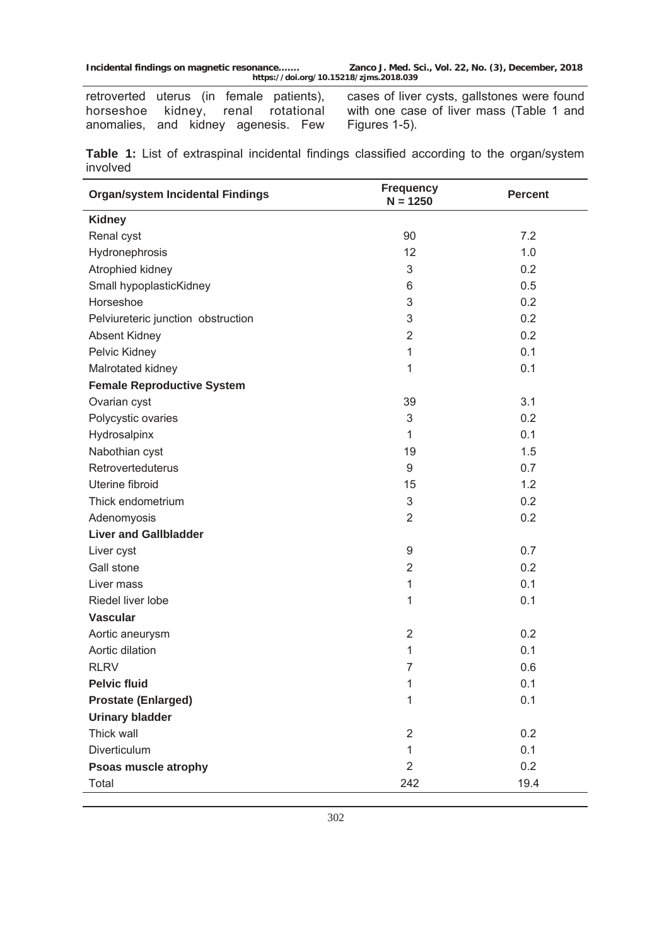retroverted uterus (in female patients), horseshoe kidney, renal rotational anomalies, and kidney agenesis. Few

cases of liver cysts, gallstones were found with one case of liver mass (Table 1 and Figures 1-5).

**Table 1:** List of extraspinal incidental findings classified according to the organ/system involved

| <b>Organ/system Incidental Findings</b> | <b>Frequency</b><br>$N = 1250$ | <b>Percent</b> |  |
|-----------------------------------------|--------------------------------|----------------|--|
| <b>Kidney</b>                           |                                |                |  |
| Renal cyst                              | 90                             | 7.2            |  |
| Hydronephrosis                          | 12                             | 1.0            |  |
| Atrophied kidney                        | 3                              | 0.2            |  |
| Small hypoplasticKidney                 | 6                              | 0.5            |  |
| Horseshoe                               | 3                              | 0.2            |  |
| Pelviureteric junction obstruction      | $\ensuremath{\mathsf{3}}$      | 0.2            |  |
| Absent Kidney                           | $\overline{2}$                 | 0.2            |  |
| Pelvic Kidney                           | 1                              | 0.1            |  |
| Malrotated kidney                       | 1                              | 0.1            |  |
| <b>Female Reproductive System</b>       |                                |                |  |
| Ovarian cyst                            | 39                             | 3.1            |  |
| Polycystic ovaries                      | $\ensuremath{\mathsf{3}}$      | 0.2            |  |
| Hydrosalpinx                            | $\mathbf{1}$                   | 0.1            |  |
| Nabothian cyst                          | 19                             | 1.5            |  |
| Retroverteduterus                       | $\boldsymbol{9}$               | 0.7            |  |
| Uterine fibroid                         | 15                             | 1.2            |  |
| Thick endometrium                       | 3                              | 0.2            |  |
| Adenomyosis                             | $\overline{2}$                 | 0.2            |  |
| <b>Liver and Gallbladder</b>            |                                |                |  |
| Liver cyst                              | 9                              | 0.7            |  |
| Gall stone                              | $\overline{2}$                 | 0.2            |  |
| Liver mass                              | 1                              | 0.1            |  |
| Riedel liver lobe                       | 1                              | 0.1            |  |
| <b>Vascular</b>                         |                                |                |  |
| Aortic aneurysm                         | $\overline{2}$                 | 0.2            |  |
| Aortic dilation                         | 1                              | 0.1            |  |
| <b>RLRV</b>                             | $\overline{7}$                 | 0.6            |  |
| <b>Pelvic fluid</b>                     | 1                              | 0.1            |  |
| <b>Prostate (Enlarged)</b>              | $\mathbf{1}$                   | 0.1            |  |
| <b>Urinary bladder</b>                  |                                |                |  |
| Thick wall                              | $\overline{2}$                 | 0.2            |  |
| Diverticulum                            | $\mathbf{1}$                   | 0.1            |  |
| Psoas muscle atrophy                    | $\overline{2}$                 | 0.2            |  |
| Total                                   | 242                            | 19.4           |  |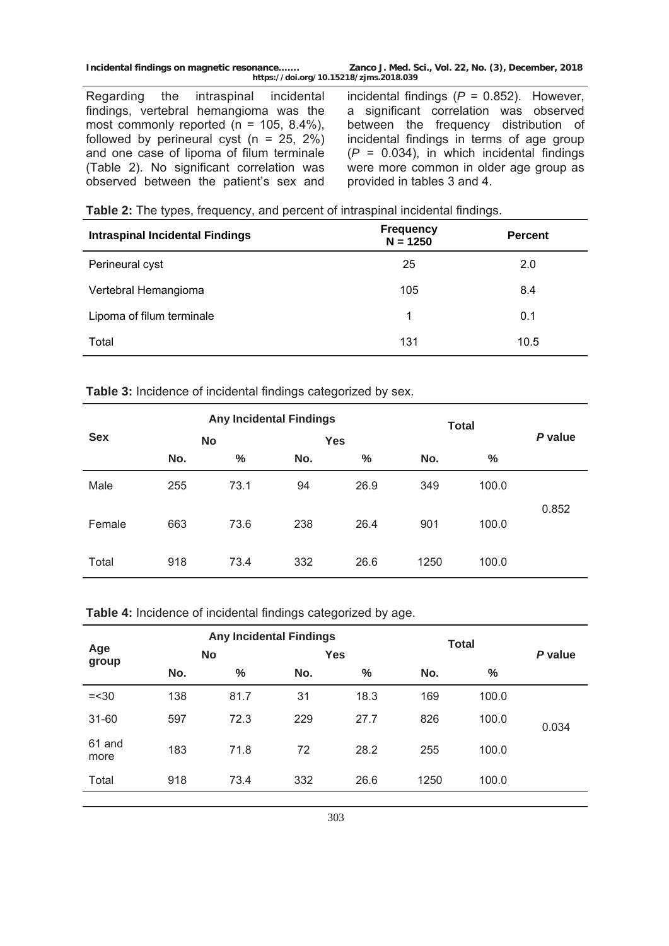**Incidental findings on magnetic resonance……. Zanco J. Med. Sci., Vol. 22, No. (3), December, 2018 https://doi.org/10.15218/zjms.2018.039**

Regarding the intraspinal incidental findings, vertebral hemangioma was the most commonly reported ( $n = 105, 8.4\%$ ), followed by perineural cyst ( $n = 25, 2\%)$ and one case of lipoma of filum terminale (Table 2). No significant correlation was observed between the patient's sex and

incidental findings (*P* = 0.852). However, a significant correlation was observed between the frequency distribution of incidental findings in terms of age group  $(P = 0.034)$ , in which incidental findings were more common in older age group as provided in tables 3 and 4.

|  | Table 2: The types, frequency, and percent of intraspinal incidental findings. |  |  |  |  |  |  |  |
|--|--------------------------------------------------------------------------------|--|--|--|--|--|--|--|
|--|--------------------------------------------------------------------------------|--|--|--|--|--|--|--|

| <b>Intraspinal Incidental Findings</b> | <b>Frequency</b><br>$N = 1250$ | <b>Percent</b> |  |
|----------------------------------------|--------------------------------|----------------|--|
| Perineural cyst                        | 25                             | 2.0            |  |
| Vertebral Hemangioma                   | 105                            | 8.4            |  |
| Lipoma of filum terminale              | 1                              | 0.1            |  |
| Total                                  | 131                            | 10.5           |  |

**Table 3:** Incidence of incidental findings categorized by sex.

|            | <b>Any Incidental Findings</b> |               |            |               | <b>Total</b> |               |         |  |
|------------|--------------------------------|---------------|------------|---------------|--------------|---------------|---------|--|
| <b>Sex</b> | <b>No</b>                      |               | <b>Yes</b> |               |              |               | P value |  |
|            | No.                            | $\frac{0}{0}$ | No.        | $\frac{0}{0}$ | No.          | $\frac{0}{0}$ |         |  |
| Male       | 255                            | 73.1          | 94         | 26.9          | 349          | 100.0         |         |  |
| Female     | 663                            | 73.6          | 238        | 26.4          | 901          | 100.0         | 0.852   |  |
| Total      | 918                            | 73.4          | 332        | 26.6          | 1250         | 100.0         |         |  |

## **Table 4:** Incidence of incidental findings categorized by age.

|                | <b>Any Incidental Findings</b> |               |            |      | <b>Total</b> |       |         |  |
|----------------|--------------------------------|---------------|------------|------|--------------|-------|---------|--|
| Age<br>group   | <b>No</b>                      |               | <b>Yes</b> |      |              |       | P value |  |
|                | No.                            | $\frac{0}{0}$ | No.        | $\%$ | No.          | %     |         |  |
| $=<30$         | 138                            | 81.7          | 31         | 18.3 | 169          | 100.0 |         |  |
| $31 - 60$      | 597                            | 72.3          | 229        | 27.7 | 826          | 100.0 | 0.034   |  |
| 61 and<br>more | 183                            | 71.8          | 72         | 28.2 | 255          | 100.0 |         |  |
| Total          | 918                            | 73.4          | 332        | 26.6 | 1250         | 100.0 |         |  |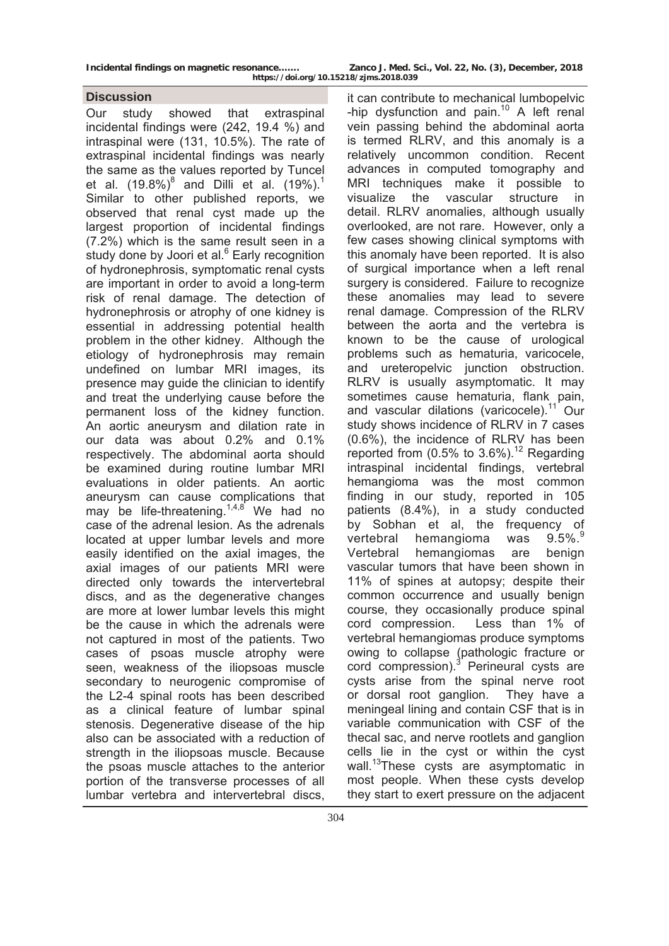### **Discussion**

Our study showed that extraspinal incidental findings were (242, 19.4 %) and intraspinal were (131, 10.5%). The rate of extraspinal incidental findings was nearly the same as the values reported by Tuncel et al.  $(19.8\%)^8$  and Dilli et al.  $(19\%)^1$ Similar to other published reports, we observed that renal cyst made up the largest proportion of incidental findings (7.2%) which is the same result seen in a study done by Joori et al.<sup>6</sup> Early recognition of hydronephrosis, symptomatic renal cysts are important in order to avoid a long-term risk of renal damage. The detection of hydronephrosis or atrophy of one kidney is essential in addressing potential health problem in the other kidney. Although the etiology of hydronephrosis may remain undefined on lumbar MRI images, its presence may guide the clinician to identify and treat the underlying cause before the permanent loss of the kidney function. An aortic aneurysm and dilation rate in our data was about 0.2% and 0.1% respectively. The abdominal aorta should be examined during routine lumbar MRI evaluations in older patients. An aortic aneurysm can cause complications that may be life-threatening.<sup>1,4,8</sup> We had no case of the adrenal lesion. As the adrenals located at upper lumbar levels and more easily identified on the axial images, the axial images of our patients MRI were directed only towards the intervertebral discs, and as the degenerative changes are more at lower lumbar levels this might be the cause in which the adrenals were not captured in most of the patients. Two cases of psoas muscle atrophy were seen, weakness of the iliopsoas muscle secondary to neurogenic compromise of the L2-4 spinal roots has been described as a clinical feature of lumbar spinal stenosis. Degenerative disease of the hip also can be associated with a reduction of strength in the iliopsoas muscle. Because the psoas muscle attaches to the anterior portion of the transverse processes of all lumbar vertebra and intervertebral discs,

it can contribute to mechanical lumbopelvic -hip dysfunction and pain.<sup>10</sup> A left renal vein passing behind the abdominal aorta is termed RLRV, and this anomaly is a relatively uncommon condition. Recent advances in computed tomography and MRI techniques make it possible to visualize the vascular structure in detail. RLRV anomalies, although usually overlooked, are not rare. However, only a few cases showing clinical symptoms with this anomaly have been reported. It is also of surgical importance when a left renal surgery is considered. Failure to recognize these anomalies may lead to severe renal damage. Compression of the RLRV between the aorta and the vertebra is known to be the cause of urological problems such as hematuria, varicocele, and ureteropelvic junction obstruction. RLRV is usually asymptomatic. It may sometimes cause hematuria, flank pain, and vascular dilations (varicocele).<sup>11</sup> Our study shows incidence of RLRV in 7 cases (0.6%), the incidence of RLRV has been reported from  $(0.5\% \text{ to } 3.6\%)$ <sup>12</sup> Regarding intraspinal incidental findings, vertebral hemangioma was the most common finding in our study, reported in 105 patients (8.4%), in a study conducted by Sobhan et al, the frequency of vertebral hemangioma was 9.5%.<sup>9</sup> Vertebral hemangiomas are benign vascular tumors that have been shown in 11% of spines at autopsy; despite their common occurrence and usually benign course, they occasionally produce spinal cord compression. Less than 1% of vertebral hemangiomas produce symptoms owing to collapse (pathologic fracture or cord compression).<sup>3</sup> Perineural cysts are cysts arise from the spinal nerve root or dorsal root ganglion. They have a meningeal lining and contain CSF that is in variable communication with CSF of the thecal sac, and nerve rootlets and ganglion cells lie in the cyst or within the cyst wall.<sup>13</sup>These cysts are asymptomatic in most people. When these cysts develop they start to exert pressure on the adjacent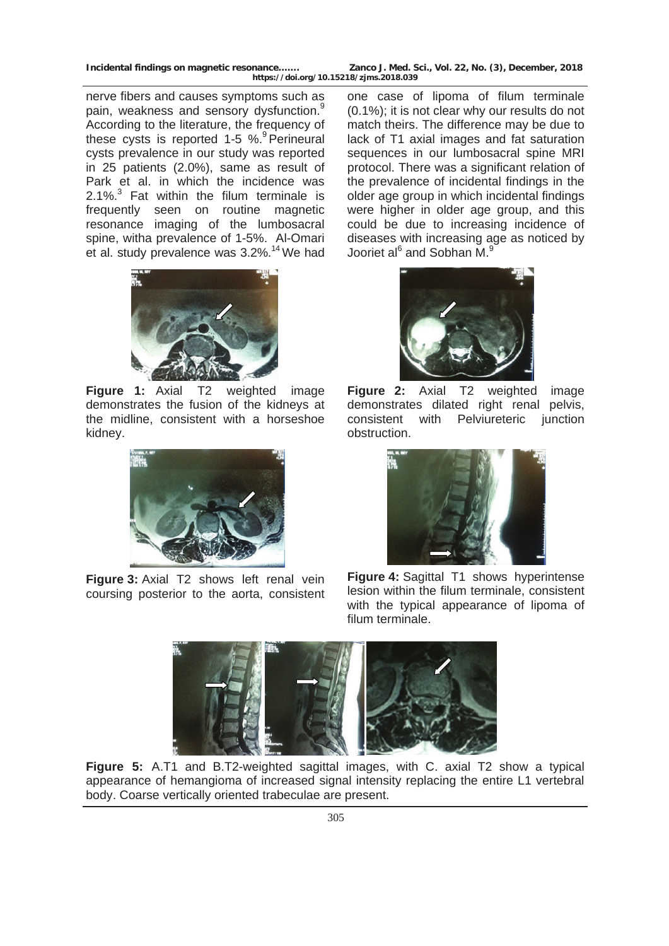**Incidental findings on magnetic resonance……. Zanco J. Med. Sci., Vol. 22, No. (3), December, 2018 https://doi.org/10.15218/zjms.2018.039**

nerve fibers and causes symptoms such as pain, weakness and sensory dysfunction.<sup>9</sup> According to the literature, the frequency of these cysts is reported 1-5 %.<sup>9</sup> Perineural cysts prevalence in our study was reported in 25 patients (2.0%), same as result of Park et al. in which the incidence was 2.1%. $3$  Fat within the filum terminale is frequently seen on routine magnetic resonance imaging of the lumbosacral spine, witha prevalence of 1-5%. Al-Omari et al. study prevalence was 3.2%.<sup>14</sup> We had



**Figure 1:** Axial T2 weighted image demonstrates the fusion of the kidneys at the midline, consistent with a horseshoe kidney.



**Figure 3:** Axial T2 shows left renal vein coursing posterior to the aorta, consistent

one case of lipoma of filum terminale (0.1%); it is not clear why our results do not match theirs. The difference may be due to lack of T1 axial images and fat saturation sequences in our lumbosacral spine MRI protocol. There was a significant relation of the prevalence of incidental findings in the older age group in which incidental findings were higher in older age group, and this could be due to increasing incidence of diseases with increasing age as noticed by Jooriet al<sup>6</sup> and Sobhan M.<sup>9</sup>



**Figure 2:** Axial T2 weighted image demonstrates dilated right renal pelvis, consistent with Pelviureteric junction obstruction.



**Figure 4:** Sagittal T1 shows hyperintense lesion within the filum terminale, consistent with the typical appearance of lipoma of filum terminale.



**Figure 5:** A.T1 and B.T2-weighted sagittal images, with C. axial T2 show a typical appearance of hemangioma of increased signal intensity replacing the entire L1 vertebral body. Coarse vertically oriented trabeculae are present.